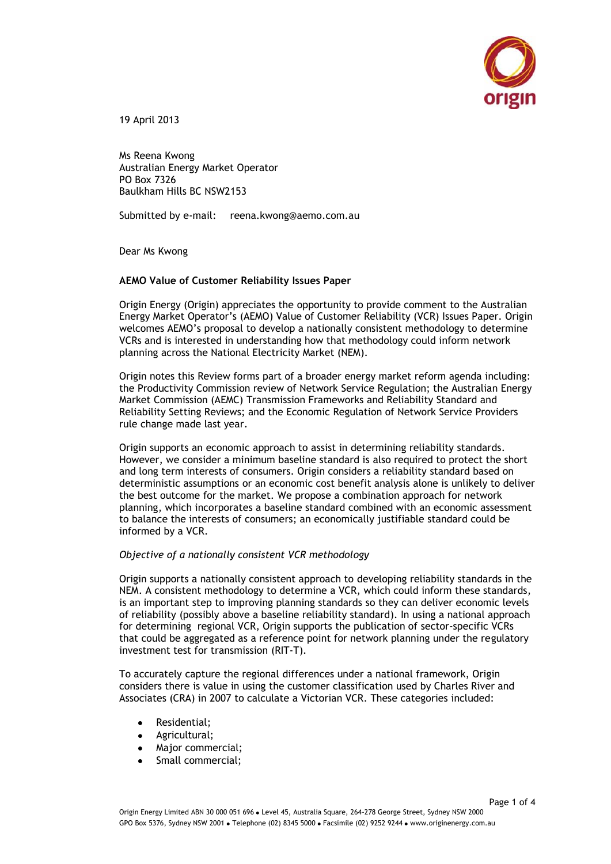

19 April 2013

Ms Reena Kwong Australian Energy Market Operator PO Box 7326 Baulkham Hills BC NSW2153

Submitted by e-mail: reena.kwong@aemo.com.au

Dear Ms Kwong

## **AEMO Value of Customer Reliability Issues Paper**

Origin Energy (Origin) appreciates the opportunity to provide comment to the Australian Energy Market Operator"s (AEMO) Value of Customer Reliability (VCR) Issues Paper. Origin welcomes AEMO"s proposal to develop a nationally consistent methodology to determine VCRs and is interested in understanding how that methodology could inform network planning across the National Electricity Market (NEM).

Origin notes this Review forms part of a broader energy market reform agenda including: the Productivity Commission review of Network Service Regulation; the Australian Energy Market Commission (AEMC) Transmission Frameworks and Reliability Standard and Reliability Setting Reviews; and the Economic Regulation of Network Service Providers rule change made last year.

Origin supports an economic approach to assist in determining reliability standards. However, we consider a minimum baseline standard is also required to protect the short and long term interests of consumers. Origin considers a reliability standard based on deterministic assumptions or an economic cost benefit analysis alone is unlikely to deliver the best outcome for the market. We propose a combination approach for network planning, which incorporates a baseline standard combined with an economic assessment to balance the interests of consumers; an economically justifiable standard could be informed by a VCR.

## *Objective of a nationally consistent VCR methodology*

Origin supports a nationally consistent approach to developing reliability standards in the NEM. A consistent methodology to determine a VCR, which could inform these standards, is an important step to improving planning standards so they can deliver economic levels of reliability (possibly above a baseline reliability standard). In using a national approach for determining regional VCR, Origin supports the publication of sector-specific VCRs that could be aggregated as a reference point for network planning under the regulatory investment test for transmission (RIT-T).

To accurately capture the regional differences under a national framework, Origin considers there is value in using the customer classification used by Charles River and Associates (CRA) in 2007 to calculate a Victorian VCR. These categories included:

- Residential;
- Agricultural;
- Major commercial:
- Small commercial: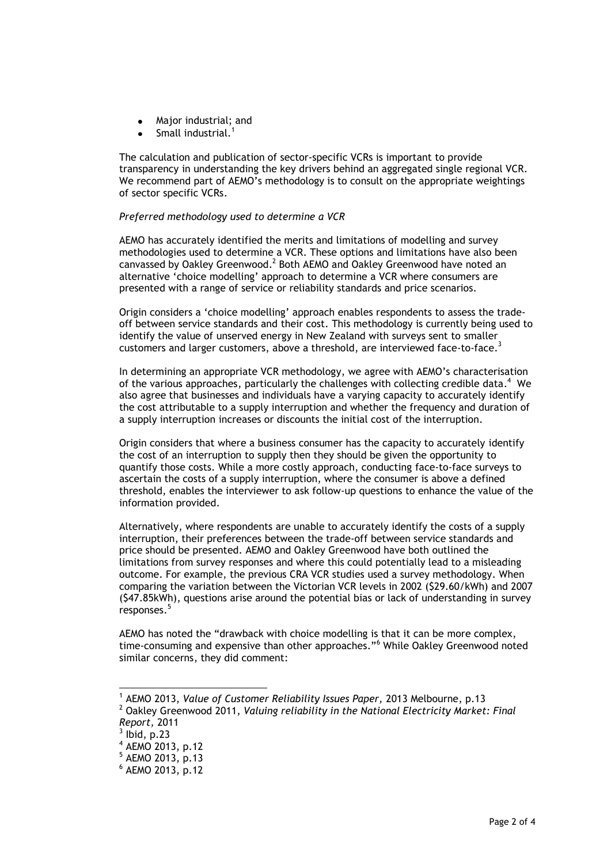- Major industrial; and
- Small industrial.<sup>1</sup>

The calculation and publication of sector-specific VCRs is important to provide transparency in understanding the key drivers behind an aggregated single regional VCR. We recommend part of AEMO's methodology is to consult on the appropriate weightings of sector specific VCRs.

## *Preferred methodology used to determine a VCR*

AEMO has accurately identified the merits and limitations of modelling and survey methodologies used to determine a VCR. These options and limitations have also been canvassed by Oakley Greenwood.<sup>2</sup> Both AEMO and Oakley Greenwood have noted an alternative "choice modelling" approach to determine a VCR where consumers are presented with a range of service or reliability standards and price scenarios.

Origin considers a "choice modelling" approach enables respondents to assess the tradeoff between service standards and their cost. This methodology is currently being used to identify the value of unserved energy in New Zealand with surveys sent to smaller customers and larger customers, above a threshold, are interviewed face-to-face.<sup>3</sup>

In determining an appropriate VCR methodology, we agree with AEMO"s characterisation of the various approaches, particularly the challenges with collecting credible data.<sup>4</sup> We also agree that businesses and individuals have a varying capacity to accurately identify the cost attributable to a supply interruption and whether the frequency and duration of a supply interruption increases or discounts the initial cost of the interruption.

Origin considers that where a business consumer has the capacity to accurately identify the cost of an interruption to supply then they should be given the opportunity to quantify those costs. While a more costly approach, conducting face-to-face surveys to ascertain the costs of a supply interruption, where the consumer is above a defined threshold, enables the interviewer to ask follow-up questions to enhance the value of the information provided.

Alternatively, where respondents are unable to accurately identify the costs of a supply interruption, their preferences between the trade-off between service standards and price should be presented. AEMO and Oakley Greenwood have both outlined the limitations from survey responses and where this could potentially lead to a misleading outcome. For example, the previous CRA VCR studies used a survey methodology. When comparing the variation between the Victorian VCR levels in 2002 (\$29.60/kWh) and 2007 (\$47.85kWh), questions arise around the potential bias or lack of understanding in survey responses. 5

AEMO has noted the "drawback with choice modelling is that it can be more complex, time-consuming and expensive than other approaches."<sup>6</sup> While Oakley Greenwood noted similar concerns, they did comment:

-

<sup>&</sup>lt;sup>1</sup> AEMO 2013, Value of Customer Reliability Issues Paper, 2013 Melbourne, p.13 <sup>2</sup> Oakley Greenwood 2011, *Valuing reliability in the National Electricity Market: Final* 

*Report,* 2011

 $3$  lbid, p.23

<sup>4</sup> AEMO 2013, p.12

<sup>5</sup> AEMO 2013, p.13

<sup>6</sup> AEMO 2013, p.12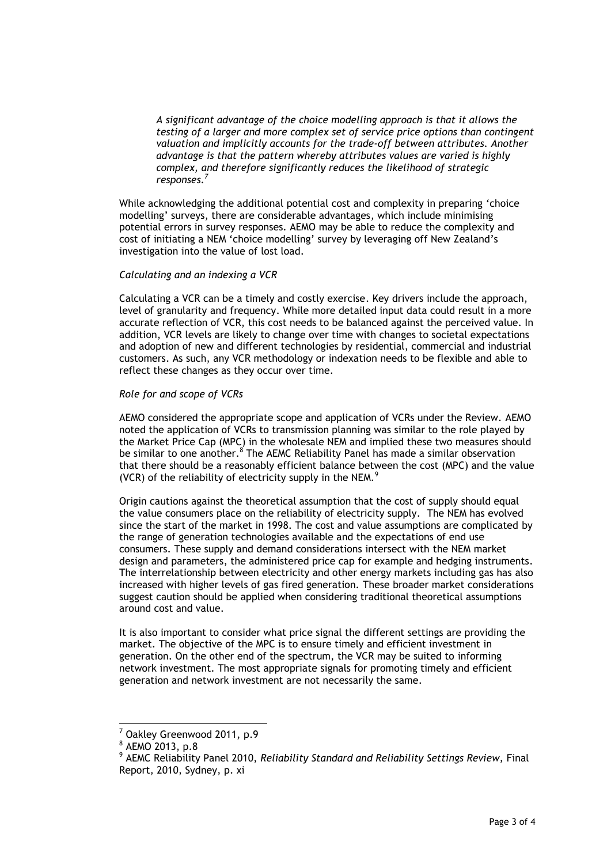*A significant advantage of the choice modelling approach is that it allows the testing of a larger and more complex set of service price options than contingent valuation and implicitly accounts for the trade-off between attributes. Another advantage is that the pattern whereby attributes values are varied is highly complex, and therefore significantly reduces the likelihood of strategic responses.<sup>7</sup>*

While acknowledging the additional potential cost and complexity in preparing "choice modelling" surveys, there are considerable advantages, which include minimising potential errors in survey responses. AEMO may be able to reduce the complexity and cost of initiating a NEM 'choice modelling' survey by leveraging off New Zealand's investigation into the value of lost load.

## *Calculating and an indexing a VCR*

Calculating a VCR can be a timely and costly exercise. Key drivers include the approach, level of granularity and frequency. While more detailed input data could result in a more accurate reflection of VCR, this cost needs to be balanced against the perceived value. In addition, VCR levels are likely to change over time with changes to societal expectations and adoption of new and different technologies by residential, commercial and industrial customers. As such, any VCR methodology or indexation needs to be flexible and able to reflect these changes as they occur over time.

# *Role for and scope of VCRs*

AEMO considered the appropriate scope and application of VCRs under the Review. AEMO noted the application of VCRs to transmission planning was similar to the role played by the Market Price Cap (MPC) in the wholesale NEM and implied these two measures should be similar to one another.<sup>8</sup> The AEMC Reliability Panel has made a similar observation that there should be a reasonably efficient balance between the cost (MPC) and the value (VCR) of the reliability of electricity supply in the NEM. $<sup>9</sup>$ </sup>

Origin cautions against the theoretical assumption that the cost of supply should equal the value consumers place on the reliability of electricity supply. The NEM has evolved since the start of the market in 1998. The cost and value assumptions are complicated by the range of generation technologies available and the expectations of end use consumers. These supply and demand considerations intersect with the NEM market design and parameters, the administered price cap for example and hedging instruments. The interrelationship between electricity and other energy markets including gas has also increased with higher levels of gas fired generation. These broader market considerations suggest caution should be applied when considering traditional theoretical assumptions around cost and value.

It is also important to consider what price signal the different settings are providing the market. The objective of the MPC is to ensure timely and efficient investment in generation. On the other end of the spectrum, the VCR may be suited to informing network investment. The most appropriate signals for promoting timely and efficient generation and network investment are not necessarily the same.

 $\overline{a}$ 

<sup>7</sup> Oakley Greenwood 2011, p.9

<sup>8</sup> AEMO 2013, p.8

<sup>9</sup> AEMC Reliability Panel 2010, *Reliability Standard and Reliability Settings Review,* Final Report, 2010, Sydney, p. xi